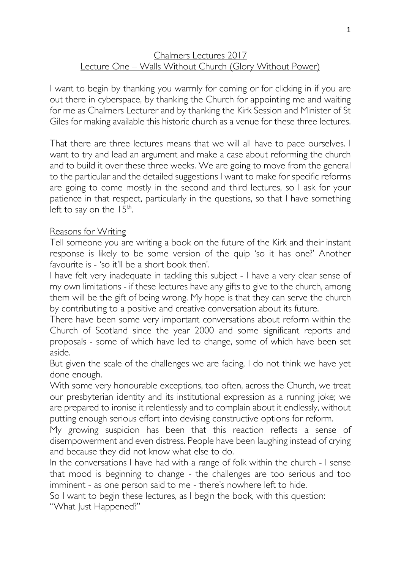### Chalmers Lectures 2017 Lecture One – Walls Without Church (Glory Without Power)

I want to begin by thanking you warmly for coming or for clicking in if you are out there in cyberspace, by thanking the Church for appointing me and waiting for me as Chalmers Lecturer and by thanking the Kirk Session and Minister of St Giles for making available this historic church as a venue for these three lectures.

That there are three lectures means that we will all have to pace ourselves. I want to try and lead an argument and make a case about reforming the church and to build it over these three weeks. We are going to move from the general to the particular and the detailed suggestions I want to make for specific reforms are going to come mostly in the second and third lectures, so I ask for your patience in that respect, particularly in the questions, so that I have something left to say on the  $15<sup>th</sup>$ .

### Reasons for Writing

Tell someone you are writing a book on the future of the Kirk and their instant response is likely to be some version of the quip 'so it has one?' Another favourite is - 'so it'll be a short book then'.

I have felt very inadequate in tackling this subject - I have a very clear sense of my own limitations - if these lectures have any gifts to give to the church, among them will be the gift of being wrong. My hope is that they can serve the church by contributing to a positive and creative conversation about its future.

There have been some very important conversations about reform within the Church of Scotland since the year 2000 and some significant reports and proposals - some of which have led to change, some of which have been set aside.

But given the scale of the challenges we are facing, I do not think we have yet done enough.

With some very honourable exceptions, too often, across the Church, we treat our presbyterian identity and its institutional expression as a running joke; we are prepared to ironise it relentlessly and to complain about it endlessly, without putting enough serious effort into devising constructive options for reform.

My growing suspicion has been that this reaction reflects a sense of disempowerment and even distress. People have been laughing instead of crying and because they did not know what else to do.

In the conversations I have had with a range of folk within the church - I sense that mood is beginning to change - the challenges are too serious and too imminent - as one person said to me - there's nowhere left to hide.

So I want to begin these lectures, as I begin the book, with this question: "What Just Happened?"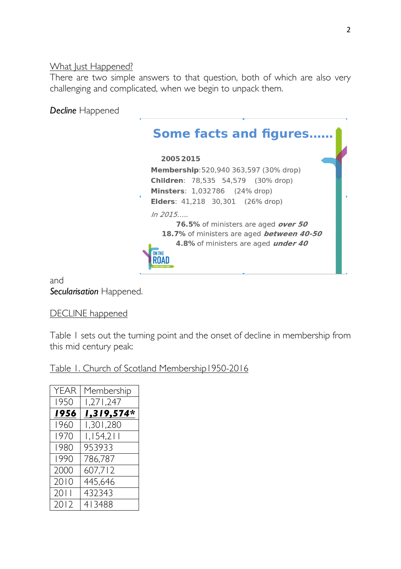### What Just Happened?

There are two simple answers to that question, both of which are also very challenging and complicated, when we begin to unpack them.



and *Secularisation* Happened.

### DECLINE happened

Table 1 sets out the turning point and the onset of decline in membership from this mid century peak:

Table 1. Church of Scotland Membership1950-2016

| YEAR | Membership   |
|------|--------------|
| 1950 | 1,271,247    |
| 1956 | $1,319,574*$ |
| 1960 | 1,301,280    |
| 1970 | 1,154,211    |
| 1980 | 953933       |
| 1990 | 786,787      |
| 2000 | 607,712      |
| 2010 | 445,646      |
| 2011 | 432343       |
| 2012 | 413488       |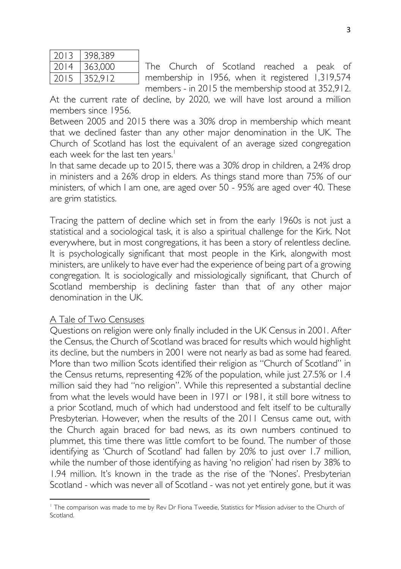| 2013 | 398,389 |
|------|---------|
| 2014 | 363,000 |
| 2015 | 352.912 |

The Church of Scotland reached a peak of membership in 1956, when it registered 1,319,574 members - in 2015 the membership stood at 352,912.

At the current rate of decline, by 2020, we will have lost around a million members since 1956.

Between 2005 and 2015 there was a 30% drop in membership which meant that we declined faster than any other major denomination in the UK. The Church of Scotland has lost the equivalent of an average sized congregation each week for the last ten years.<sup>1</sup>

In that same decade up to 2015, there was a 30% drop in children, a 24% drop in ministers and a 26% drop in elders. As things stand more than 75% of our ministers, of which I am one, are aged over 50 - 95% are aged over 40. These are grim statistics.

Tracing the pattern of decline which set in from the early 1960s is not just a statistical and a sociological task, it is also a spiritual challenge for the Kirk. Not everywhere, but in most congregations, it has been a story of relentless decline. It is psychologically significant that most people in the Kirk, alongwith most ministers, are unlikely to have ever had the experience of being part of a growing congregation. It is sociologically and missiologically significant, that Church of Scotland membership is declining faster than that of any other major denomination in the UK.

### A Tale of Two Censuses

 

Questions on religion were only finally included in the UK Census in 2001. After the Census, the Church of Scotland was braced for results which would highlight its decline, but the numbers in 2001 were not nearly as bad as some had feared. More than two million Scots identified their religion as "Church of Scotland" in the Census returns, representing 42% of the population, while just 27.5% or 1.4 million said they had "no religion". While this represented a substantial decline from what the levels would have been in 1971 or 1981, it still bore witness to a prior Scotland, much of which had understood and felt itself to be culturally Presbyterian. However, when the results of the 2011 Census came out, with the Church again braced for bad news, as its own numbers continued to plummet, this time there was little comfort to be found. The number of those identifying as 'Church of Scotland' had fallen by 20% to just over 1.7 million, while the number of those identifying as having 'no religion' had risen by 38% to 1.94 million. It's known in the trade as the rise of the 'Nones'. Presbyterian Scotland - which was never all of Scotland - was not yet entirely gone, but it was

<sup>1</sup> The comparison was made to me by Rev Dr Fiona Tweedie, Statistics for Mission adviser to the Church of Scotland.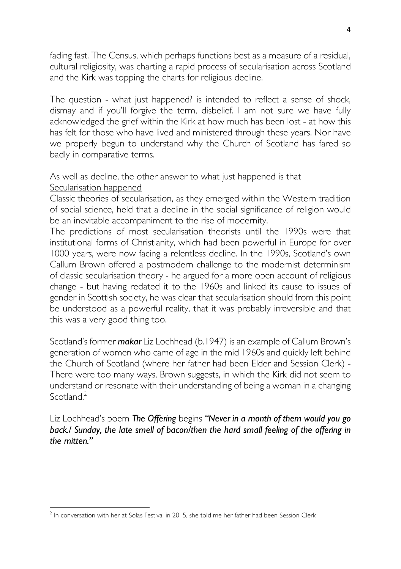fading fast. The Census, which perhaps functions best as a measure of a residual, cultural religiosity, was charting a rapid process of secularisation across Scotland and the Kirk was topping the charts for religious decline.

The question - what just happened? is intended to reflect a sense of shock, dismay and if you'll forgive the term, disbelief. I am not sure we have fully acknowledged the grief within the Kirk at how much has been lost - at how this has felt for those who have lived and ministered through these years. Nor have we properly begun to understand why the Church of Scotland has fared so badly in comparative terms.

As well as decline, the other answer to what just happened is that Secularisation happened

Classic theories of secularisation, as they emerged within the Western tradition of social science, held that a decline in the social significance of religion would be an inevitable accompaniment to the rise of modernity.

The predictions of most secularisation theorists until the 1990s were that institutional forms of Christianity, which had been powerful in Europe for over 1000 years, were now facing a relentless decline. In the 1990s, Scotland's own Callum Brown offered a postmodern challenge to the modernist determinism of classic secularisation theory - he argued for a more open account of religious change - but having redated it to the 1960s and linked its cause to issues of gender in Scottish society, he was clear that secularisation should from this point be understood as a powerful reality, that it was probably irreversible and that this was a very good thing too.

Scotland's former *makar* Liz Lochhead (b.1947) is an example of Callum Brown's generation of women who came of age in the mid 1960s and quickly left behind the Church of Scotland (where her father had been Elder and Session Clerk) - There were too many ways, Brown suggests, in which the Kirk did not seem to understand or resonate with their understanding of being a woman in a changing Scotland.<sup>2</sup>

Liz Lochhead's poem *The Offering* begins *"Never in a month of them would you go back./ Sunday, the late smell of bacon/then the hard small feeling of the offering in the mitten."*

  $<sup>2</sup>$  In conversation with her at Solas Festival in 2015, she told me her father had been Session Clerk</sup>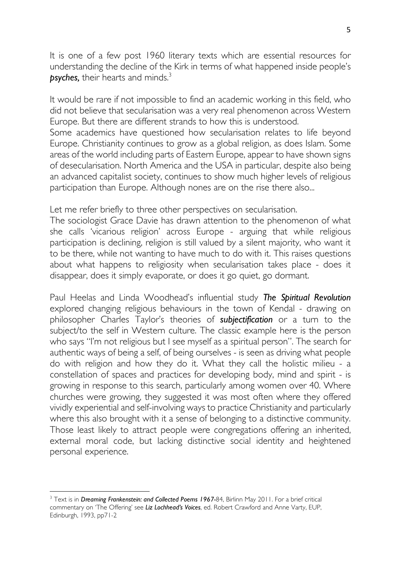It is one of a few post 1960 literary texts which are essential resources for understanding the decline of the Kirk in terms of what happened inside people's **psyches,** their hearts and minds.<sup>3</sup>

It would be rare if not impossible to find an academic working in this field, who did not believe that secularisation was a very real phenomenon across Western Europe. But there are different strands to how this is understood.

Some academics have questioned how secularisation relates to life beyond Europe. Christianity continues to grow as a global religion, as does Islam. Some areas of the world including parts of Eastern Europe, appear to have shown signs of desecularisation. North America and the USA in particular, despite also being an advanced capitalist society, continues to show much higher levels of religious participation than Europe. Although nones are on the rise there also...

Let me refer briefly to three other perspectives on secularisation.

The sociologist Grace Davie has drawn attention to the phenomenon of what she calls 'vicarious religion' across Europe - arguing that while religious participation is declining, religion is still valued by a silent majority, who want it to be there, while not wanting to have much to do with it. This raises questions about what happens to religiosity when secularisation takes place - does it disappear, does it simply evaporate, or does it go quiet, go dormant.

Paul Heelas and Linda Woodhead's influential study *The Spiritual Revolution* explored changing religious behaviours in the town of Kendal - drawing on philosopher Charles Taylor's theories of *subjectification* or a turn to the subject/to the self in Western culture. The classic example here is the person who says "I'm not religious but I see myself as a spiritual person". The search for authentic ways of being a self, of being ourselves - is seen as driving what people do with religion and how they do it. What they call the holistic milieu - a constellation of spaces and practices for developing body, mind and spirit - is growing in response to this search, particularly among women over 40. Where churches were growing, they suggested it was most often where they offered vividly experiential and self-involving ways to practice Christianity and particularly where this also brought with it a sense of belonging to a distinctive community. Those least likely to attract people were congregations offering an inherited, external moral code, but lacking distinctive social identity and heightened personal experience.

<sup>3</sup> Text is in *Dreaming Frankenstein: and Collected Poems 1967-*84, Birlinn May 2011. For a brief critical commentary on 'The Offering' see *Liz Lochhead's Voices*, ed. Robert Crawford and Anne Varty, EUP, Edinburgh, 1993, pp71-2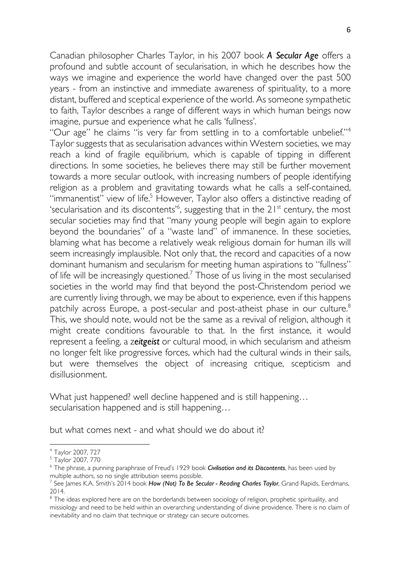Canadian philosopher Charles Taylor, in his 2007 book *A Secular Age* offers a profound and subtle account of secularisation, in which he describes how the ways we imagine and experience the world have changed over the past 500 years - from an instinctive and immediate awareness of spirituality, to a more distant, buffered and sceptical experience of the world. As someone sympathetic to faith, Taylor describes a range of different ways in which human beings now imagine, pursue and experience what he calls 'fullness'.

"Our age" he claims "is very far from settling in to a comfortable unbelief."4 Taylor suggests that as secularisation advances within Western societies, we may reach a kind of fragile equilibrium, which is capable of tipping in different directions. In some societies, he believes there may still be further movement towards a more secular outlook, with increasing numbers of people identifying religion as a problem and gravitating towards what he calls a self-contained, "immanentist" view of life.<sup>5</sup> However, Taylor also offers a distinctive reading of 'secularisation and its discontents<sup>16</sup>, suggesting that in the  $21<sup>st</sup>$  century, the most secular societies may find that "many young people will begin again to explore beyond the boundaries" of a "waste land" of immanence. In these societies, blaming what has become a relatively weak religious domain for human ills will seem increasingly implausible. Not only that, the record and capacities of a now dominant humanism and secularism for meeting human aspirations to "fullness" of life will be increasingly questioned.7 Those of us living in the most secularised societies in the world may find that beyond the post-Christendom period we are currently living through, we may be about to experience, even if this happens patchily across Europe, a post-secular and post-atheist phase in our culture.<sup>8</sup> This, we should note, would not be the same as a revival of religion, although it might create conditions favourable to that. In the first instance, it would represent a feeling, a z*eitgeist* or cultural mood, in which secularism and atheism no longer felt like progressive forces, which had the cultural winds in their sails, but were themselves the object of increasing critique, scepticism and disillusionment.

What just happened? well decline happened and is still happening... secularisation happened and is still happening…

but what comes next - and what should we do about it?

<sup>4</sup> Taylor 2007, 727

<sup>&</sup>lt;sup>5</sup> Taylor 2007, 770

<sup>6</sup> The phrase, a punning paraphrase of Freud's 1929 book *Civilisation and its Discontents*, has been used by multiple authors, so no single attribution seems possible.

<sup>7</sup> See James K.A. Smith's 2014 book *How (Not) To Be Secular - Reading Charles Taylor*, Grand Rapids, Eerdmans, 2014.

<sup>&</sup>lt;sup>8</sup> The ideas explored here are on the borderlands between sociology of religion, prophetic spirituality, and missiology and need to be held within an overarching understanding of divine providence. There is no claim of inevitability and no claim that technique or strategy can secure outcomes.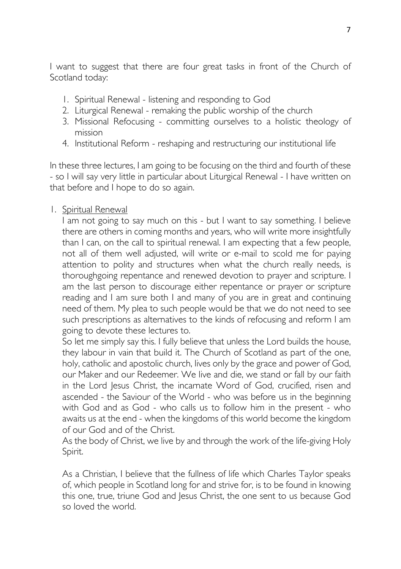I want to suggest that there are four great tasks in front of the Church of Scotland today:

- 1. Spiritual Renewal listening and responding to God
- 2. Liturgical Renewal remaking the public worship of the church
- 3. Missional Refocusing committing ourselves to a holistic theology of mission
- 4. Institutional Reform reshaping and restructuring our institutional life

In these three lectures, I am going to be focusing on the third and fourth of these - so I will say very little in particular about Liturgical Renewal - I have written on that before and I hope to do so again.

## 1. Spiritual Renewal

I am not going to say much on this - but I want to say something. I believe there are others in coming months and years, who will write more insightfully than I can, on the call to spiritual renewal. I am expecting that a few people, not all of them well adjusted, will write or e-mail to scold me for paying attention to polity and structures when what the church really needs, is thoroughgoing repentance and renewed devotion to prayer and scripture. I am the last person to discourage either repentance or prayer or scripture reading and I am sure both I and many of you are in great and continuing need of them. My plea to such people would be that we do not need to see such prescriptions as alternatives to the kinds of refocusing and reform I am going to devote these lectures to.

So let me simply say this. I fully believe that unless the Lord builds the house, they labour in vain that build it. The Church of Scotland as part of the one, holy, catholic and apostolic church, lives only by the grace and power of God, our Maker and our Redeemer. We live and die, we stand or fall by our faith in the Lord Jesus Christ, the incarnate Word of God, crucified, risen and ascended - the Saviour of the World - who was before us in the beginning with God and as God - who calls us to follow him in the present - who awaits us at the end - when the kingdoms of this world become the kingdom of our God and of the Christ.

As the body of Christ, we live by and through the work of the life-giving Holy Spirit.

As a Christian, I believe that the fullness of life which Charles Taylor speaks of, which people in Scotland long for and strive for, is to be found in knowing this one, true, triune God and Jesus Christ, the one sent to us because God so loved the world.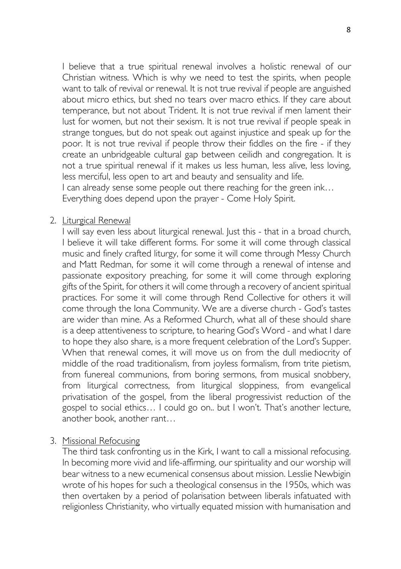I believe that a true spiritual renewal involves a holistic renewal of our Christian witness. Which is why we need to test the spirits, when people want to talk of revival or renewal. It is not true revival if people are anguished about micro ethics, but shed no tears over macro ethics. If they care about temperance, but not about Trident. It is not true revival if men lament their lust for women, but not their sexism. It is not true revival if people speak in strange tongues, but do not speak out against injustice and speak up for the poor. It is not true revival if people throw their fiddles on the fire - if they create an unbridgeable cultural gap between ceilidh and congregation. It is not a true spiritual renewal if it makes us less human, less alive, less loving, less merciful, less open to art and beauty and sensuality and life.

I can already sense some people out there reaching for the green ink… Everything does depend upon the prayer - Come Holy Spirit.

#### 2. Liturgical Renewal

I will say even less about liturgical renewal. Just this - that in a broad church, I believe it will take different forms. For some it will come through classical music and finely crafted liturgy, for some it will come through Messy Church and Matt Redman, for some it will come through a renewal of intense and passionate expository preaching, for some it will come through exploring gifts of the Spirit, for others it will come through a recovery of ancient spiritual practices. For some it will come through Rend Collective for others it will come through the Iona Community. We are a diverse church - God's tastes are wider than mine. As a Reformed Church, what all of these should share is a deep attentiveness to scripture, to hearing God's Word - and what I dare to hope they also share, is a more frequent celebration of the Lord's Supper. When that renewal comes, it will move us on from the dull mediocrity of middle of the road traditionalism, from joyless formalism, from trite pietism, from funereal communions, from boring sermons, from musical snobbery, from liturgical correctness, from liturgical sloppiness, from evangelical privatisation of the gospel, from the liberal progressivist reduction of the gospel to social ethics… I could go on.. but I won't. That's another lecture, another book, another rant…

#### 3. Missional Refocusing

The third task confronting us in the Kirk, I want to call a missional refocusing. In becoming more vivid and life-affirming, our spirituality and our worship will bear witness to a new ecumenical consensus about mission. Lesslie Newbigin wrote of his hopes for such a theological consensus in the 1950s, which was then overtaken by a period of polarisation between liberals infatuated with religionless Christianity, who virtually equated mission with humanisation and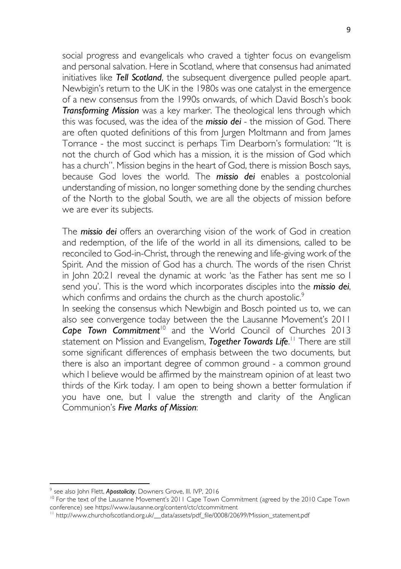social progress and evangelicals who craved a tighter focus on evangelism and personal salvation. Here in Scotland, where that consensus had animated initiatives like *Tell Scotland*, the subsequent divergence pulled people apart. Newbigin's return to the UK in the 1980s was one catalyst in the emergence of a new consensus from the 1990s onwards, of which David Bosch's book *Transforming Mission* was a key marker. The theological lens through which this was focused, was the idea of the *missio dei* - the mission of God. There are often quoted definitions of this from Jurgen Moltmann and from James Torrance - the most succinct is perhaps Tim Dearborn's formulation: "It is not the church of God which has a mission, it is the mission of God which has a church". Mission begins in the heart of God, there is mission Bosch says, because God loves the world. The *missio dei* enables a postcolonial understanding of mission, no longer something done by the sending churches of the North to the global South, we are all the objects of mission before we are ever its subjects.

The *missio dei* offers an overarching vision of the work of God in creation and redemption, of the life of the world in all its dimensions, called to be reconciled to God-in-Christ, through the renewing and life-giving work of the Spirit. And the mission of God has a church. The words of the risen Christ in John 20:21 reveal the dynamic at work: 'as the Father has sent me so I send you'. This is the word which incorporates disciples into the *missio dei*, which confirms and ordains the church as the church apostolic.<sup>9</sup>

In seeking the consensus which Newbigin and Bosch pointed us to, we can also see convergence today between the the Lausanne Movement's 2011 **Cape Town Commitment<sup>10</sup>** and the World Council of Churches 2013 statement on Mission and Evangelism, *Together Towards Life*. <sup>11</sup> There are still some significant differences of emphasis between the two documents, but there is also an important degree of common ground - a common ground which I believe would be affirmed by the mainstream opinion of at least two thirds of the Kirk today. I am open to being shown a better formulation if you have one, but I value the strength and clarity of the Anglican Communion's *Five Marks of Mission*:

<sup>9</sup> see also John Flett, *Apostolicity*, Downers Grove, Ill. IVP, 2016

<sup>&</sup>lt;sup>10</sup> For the text of the Lausanne Movement's 2011 Cape Town Commitment (agreed by the 2010 Cape Town conference) see https://www.lausanne.org/content/ctc/ctcommitment

<sup>11</sup> http://www.churchofscotland.org.uk/\_\_data/assets/pdf\_file/0008/20699/Mission\_statement.pdf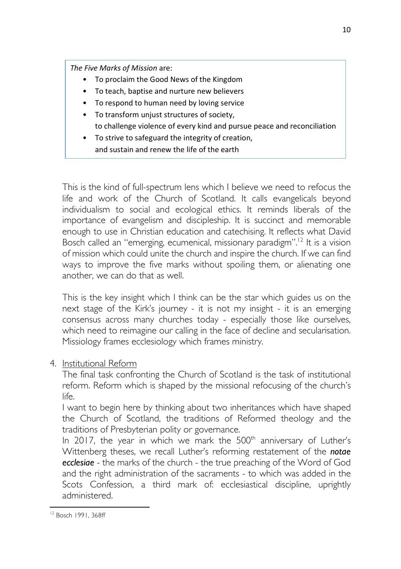*The Five Marks of Mission* are:

- To proclaim the Good News of the Kingdom
- To teach, baptise and nurture new believers
- To respond to human need by loving service
- To transform unjust structures of society, to challenge violence of every kind and pursue peace and reconciliation
- To strive to safeguard the integrity of creation, and sustain and renew the life of the earth

This is the kind of full-spectrum lens which I believe we need to refocus the life and work of the Church of Scotland. It calls evangelicals beyond individualism to social and ecological ethics. It reminds liberals of the importance of evangelism and discipleship. It is succinct and memorable enough to use in Christian education and catechising. It reflects what David Bosch called an "emerging, ecumenical, missionary paradigm".<sup>12</sup> It is a vision of mission which could unite the church and inspire the church. If we can find ways to improve the five marks without spoiling them, or alienating one another, we can do that as well.

This is the key insight which I think can be the star which guides us on the next stage of the Kirk's journey - it is not my insight - it is an emerging consensus across many churches today - especially those like ourselves, which need to reimagine our calling in the face of decline and secularisation. Missiology frames ecclesiology which frames ministry.

# 4. Institutional Reform

The final task confronting the Church of Scotland is the task of institutional reform. Reform which is shaped by the missional refocusing of the church's life.

I want to begin here by thinking about two inheritances which have shaped the Church of Scotland, the traditions of Reformed theology and the traditions of Presbyterian polity or governance.

In 2017, the year in which we mark the  $500<sup>th</sup>$  anniversary of Luther's Wittenberg theses, we recall Luther's reforming restatement of the *notae ecclesiae* - the marks of the church - the true preaching of the Word of God and the right administration of the sacraments - to which was added in the Scots Confession, a third mark of: ecclesiastical discipline, uprightly administered.

 <sup>12</sup> Bosch 1991, 368ff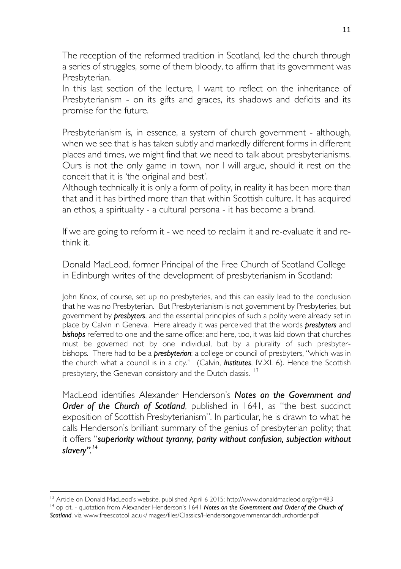The reception of the reformed tradition in Scotland, led the church through a series of struggles, some of them bloody, to affirm that its government was Presbyterian.

In this last section of the lecture. I want to reflect on the inheritance of Presbyterianism - on its gifts and graces, its shadows and deficits and its promise for the future.

Presbyterianism is, in essence, a system of church government - although, when we see that is has taken subtly and markedly different forms in different places and times, we might find that we need to talk about presbyterianisms. Ours is not the only game in town, nor I will argue, should it rest on the conceit that it is 'the original and best'.

Although technically it is only a form of polity, in reality it has been more than that and it has birthed more than that within Scottish culture. It has acquired an ethos, a spirituality - a cultural persona - it has become a brand.

If we are going to reform it - we need to reclaim it and re-evaluate it and rethink it.

Donald MacLeod, former Principal of the Free Church of Scotland College in Edinburgh writes of the development of presbyterianism in Scotland:

John Knox, of course, set up no presbyteries, and this can easily lead to the conclusion that he was no Presbyterian. But Presbyterianism is not government by Presbyteries, but government by *presbyters*, and the essential principles of such a polity were already set in place by Calvin in Geneva. Here already it was perceived that the words *presbyters* and *bishops* referred to one and the same office; and here, too, it was laid down that churches must be governed not by one individual, but by a plurality of such presbyterbishops. There had to be a *presbyterion*: a college or council of presbyters, "which was in the church what a council is in a city." (Calvin, *Institutes*, IV.XI. 6). Hence the Scottish presbytery, the Genevan consistory and the Dutch classis.<sup>13</sup>

MacLeod identifies Alexander Henderson's *Notes on the Government and*  **Order of the Church of Scotland**, published in 1641, as "the best succinct exposition of Scottish Presbyterianism". In particular, he is drawn to what he calls Henderson's brilliant summary of the genius of presbyterian polity; that it offers "*superiority without tyranny, parity without confusion, subjection without slavery".14*

<sup>&</sup>lt;sup>13</sup> Article on Donald MacLeod's website, published April 6 2015; http://www.donaldmacleod.org/?p=483

<sup>&</sup>lt;sup>14</sup> op cit. - quotation from Alexander Henderson's 1641 Notes on the Government and Order of the Church of *Scotland*, via www.freescotcoll.ac.uk/images/files/Classics/Hendersongovernmentandchurchorder.pdf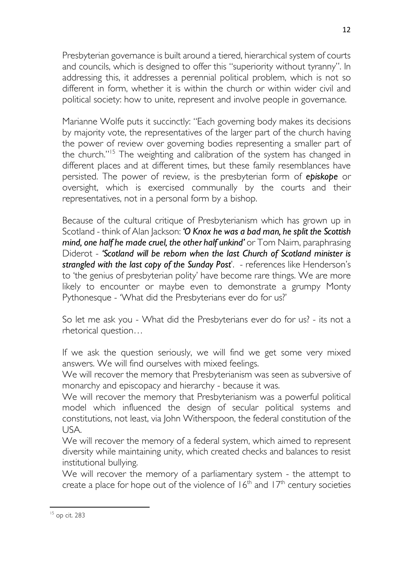Presbyterian governance is built around a tiered, hierarchical system of courts and councils, which is designed to offer this "superiority without tyranny". In addressing this, it addresses a perennial political problem, which is not so different in form, whether it is within the church or within wider civil and political society: how to unite, represent and involve people in governance.

Marianne Wolfe puts it succinctly: "Each governing body makes its decisions by majority vote, the representatives of the larger part of the church having the power of review over governing bodies representing a smaller part of the church."<sup>15</sup> The weighting and calibration of the system has changed in different places and at different times, but these family resemblances have persisted. The power of review, is the presbyterian form of *episkope* or oversight, which is exercised communally by the courts and their representatives, not in a personal form by a bishop.

Because of the cultural critique of Presbyterianism which has grown up in Scotland - think of Alan Jackson: *'O Knox he was a bad man, he split the Scottish mind, one half he made cruel, the other half unkind'* or Tom Nairn, paraphrasing Diderot - *'Scotland will be reborn when the last Church of Scotland minister is strangled with the last copy of the Sunday Post*'. - references like Henderson's to 'the genius of presbyterian polity' have become rare things. We are more likely to encounter or maybe even to demonstrate a grumpy Monty Pythonesque - 'What did the Presbyterians ever do for us?'

So let me ask you - What did the Presbyterians ever do for us? - its not a rhetorical question…

If we ask the question seriously, we will find we get some very mixed answers. We will find ourselves with mixed feelings.

We will recover the memory that Presbyterianism was seen as subversive of monarchy and episcopacy and hierarchy - because it was.

We will recover the memory that Presbyterianism was a powerful political model which influenced the design of secular political systems and constitutions, not least, via John Witherspoon, the federal constitution of the USA.

We will recover the memory of a federal system, which aimed to represent diversity while maintaining unity, which created checks and balances to resist institutional bullying.

We will recover the memory of a parliamentary system - the attempt to create a place for hope out of the violence of  $16<sup>th</sup>$  and  $17<sup>th</sup>$  century societies

<sup>12</sup>

 <sup>15</sup> op cit. 283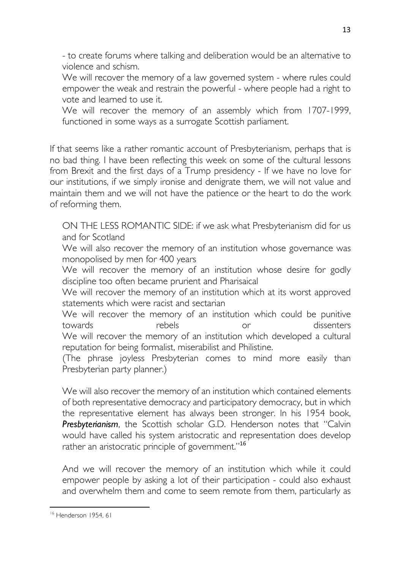- to create forums where talking and deliberation would be an alternative to violence and schism.

We will recover the memory of a law governed system - where rules could empower the weak and restrain the powerful - where people had a right to vote and learned to use it.

We will recover the memory of an assembly which from 1707-1999, functioned in some ways as a surrogate Scottish parliament.

If that seems like a rather romantic account of Presbyterianism, perhaps that is no bad thing. I have been reflecting this week on some of the cultural lessons from Brexit and the first days of a Trump presidency - If we have no love for our institutions, if we simply ironise and denigrate them, we will not value and maintain them and we will not have the patience or the heart to do the work of reforming them.

ON THE LESS ROMANTIC SIDE: if we ask what Presbyterianism did for us and for Scotland

We will also recover the memory of an institution whose governance was monopolised by men for 400 years

We will recover the memory of an institution whose desire for godly discipline too often became prurient and Pharisaical

We will recover the memory of an institution which at its worst approved statements which were racist and sectarian

We will recover the memory of an institution which could be punitive towards entitled rebels to the or the dissenters We will recover the memory of an institution which developed a cultural reputation for being formalist, miserabilist and Philistine.

(The phrase joyless Presbyterian comes to mind more easily than Presbyterian party planner.)

We will also recover the memory of an institution which contained elements of both representative democracy and participatory democracy, but in which the representative element has always been stronger. In his 1954 book, *Presbyterianism*, the Scottish scholar G.D. Henderson notes that "Calvin would have called his system aristocratic and representation does develop rather an aristocratic principle of government."16

And we will recover the memory of an institution which while it could empower people by asking a lot of their participation - could also exhaust and overwhelm them and come to seem remote from them, particularly as

 <sup>16</sup> Henderson 1954, 61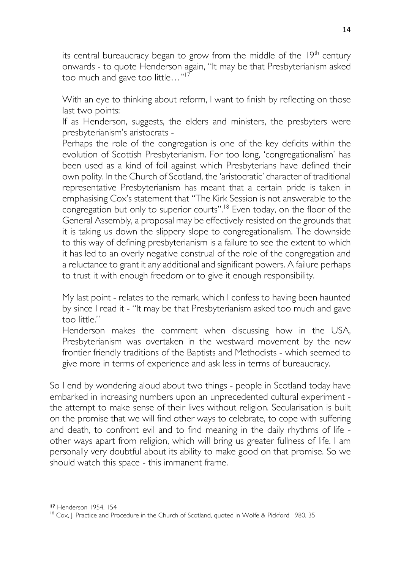its central bureaucracy began to grow from the middle of the  $19<sup>th</sup>$  century onwards - to quote Henderson again, "It may be that Presbyterianism asked too much and gave too little…"17

With an eye to thinking about reform, I want to finish by reflecting on those last two points:

If as Henderson, suggests, the elders and ministers, the presbyters were presbyterianism's aristocrats -

Perhaps the role of the congregation is one of the key deficits within the evolution of Scottish Presbyterianism. For too long, 'congregationalism' has been used as a kind of foil against which Presbyterians have defined their own polity. In the Church of Scotland, the 'aristocratic' character of traditional representative Presbyterianism has meant that a certain pride is taken in emphasising Cox's statement that "The Kirk Session is not answerable to the congregation but only to superior courts".18 Even today, on the floor of the General Assembly, a proposal may be effectively resisted on the grounds that it is taking us down the slippery slope to congregationalism. The downside to this way of defining presbyterianism is a failure to see the extent to which it has led to an overly negative construal of the role of the congregation and a reluctance to grant it any additional and significant powers. A failure perhaps to trust it with enough freedom or to give it enough responsibility.

My last point - relates to the remark, which I confess to having been haunted by since I read it - "It may be that Presbyterianism asked too much and gave too little."

Henderson makes the comment when discussing how in the USA, Presbyterianism was overtaken in the westward movement by the new frontier friendly traditions of the Baptists and Methodists - which seemed to give more in terms of experience and ask less in terms of bureaucracy.

So I end by wondering aloud about two things - people in Scotland today have embarked in increasing numbers upon an unprecedented cultural experiment the attempt to make sense of their lives without religion. Secularisation is built on the promise that we will find other ways to celebrate, to cope with suffering and death, to confront evil and to find meaning in the daily rhythms of life other ways apart from religion, which will bring us greater fullness of life. I am personally very doubtful about its ability to make good on that promise. So we should watch this space - this immanent frame.

 **<sup>17</sup>** Henderson 1954, 154

<sup>&</sup>lt;sup>18</sup> Cox, J. Practice and Procedure in the Church of Scotland, quoted in Wolfe & Pickford 1980, 35